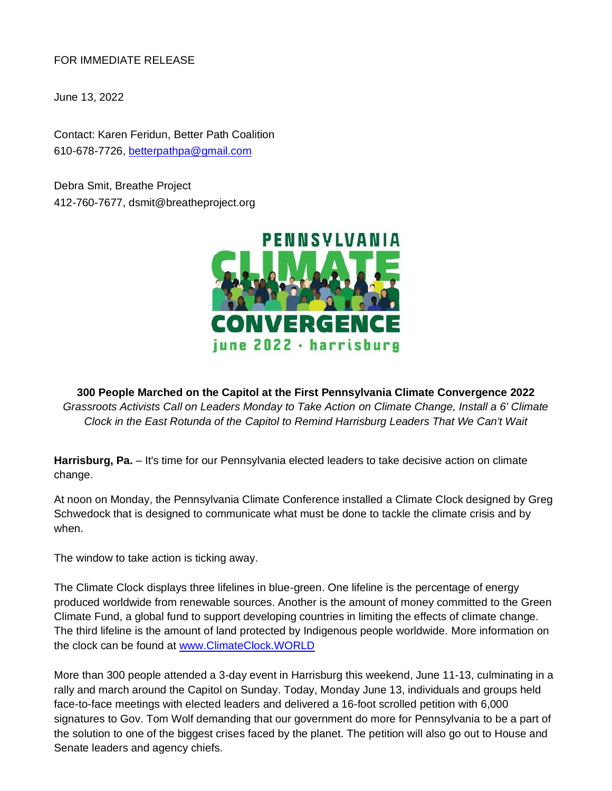FOR IMMEDIATE RELEASE

June 13, 2022

Contact: Karen Feridun, Better Path Coalition 610-678-7726, [betterpathpa@gmail.com](mailto:betterpathpa@gmail.com)

Debra Smit, Breathe Project 412-760-7677, dsmit@breatheproject.org



**300 People Marched on the Capitol at the First Pennsylvania Climate Convergence 2022**  *Grassroots Activists Call on Leaders Monday to Take Action on Climate Change, Install a 6' Climate Clock in the East Rotunda of the Capitol to Remind Harrisburg Leaders That We Can't Wait*

Harrisburg, Pa. - It's time for our Pennsylvania elected leaders to take decisive action on climate change.

At noon on Monday, the Pennsylvania Climate Conference installed a Climate Clock designed by Greg Schwedock that is designed to communicate what must be done to tackle the climate crisis and by when.

The window to take action is ticking away.

The Climate Clock displays three lifelines in blue-green. One lifeline is the percentage of energy produced worldwide from renewable sources. Another is the amount of money committed to the Green Climate Fund, a global fund to support developing countries in limiting the effects of climate change. The third lifeline is the amount of land protected by Indigenous people worldwide. More information on the clock can be found at [www.ClimateClock.WORLD](http://www.climateclock.world/)

More than 300 people attended a 3-day event in Harrisburg this weekend, June 11-13, culminating in a rally and march around the Capitol on Sunday. Today, Monday June 13, individuals and groups held face-to-face meetings with elected leaders and delivered a 16-foot scrolled petition with 6,000 signatures to Gov. Tom Wolf demanding that our government do more for Pennsylvania to be a part of the solution to one of the biggest crises faced by the planet. The petition will also go out to House and Senate leaders and agency chiefs.